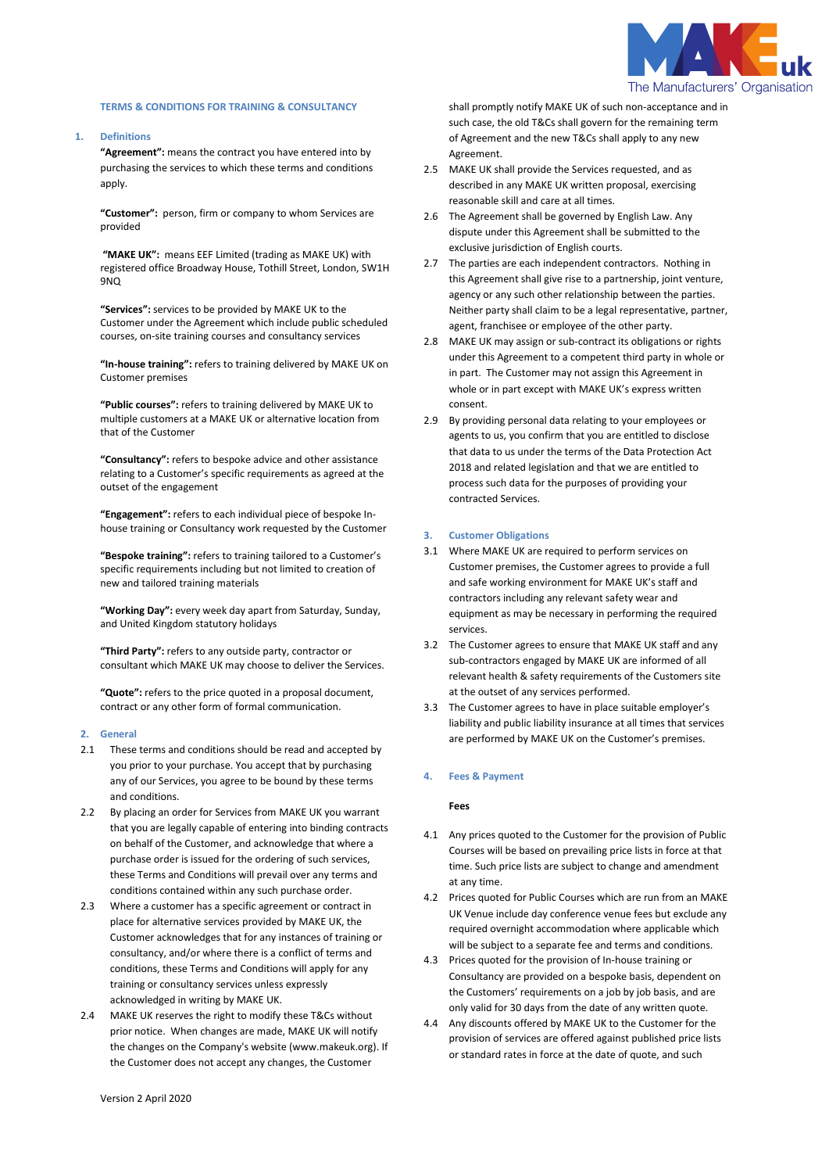

## **TERMS & CONDITIONS FOR TRAINING & CONSULTANCY**

**1. Definitions**

**"Agreement":** means the contract you have entered into by purchasing the services to which these terms and conditions apply.

**"Customer":** person, firm or company to whom Services are provided

**"MAKE UK":** means EEF Limited (trading as MAKE UK) with registered office Broadway House, Tothill Street, London, SW1H 9NQ

**"Services":** services to be provided by MAKE UK to the Customer under the Agreement which include public scheduled courses, on-site training courses and consultancy services

**"In-house training":** refers to training delivered by MAKE UK on Customer premises

**"Public courses":** refers to training delivered by MAKE UK to multiple customers at a MAKE UK or alternative location from that of the Customer

**"Consultancy":** refers to bespoke advice and other assistance relating to a Customer's specific requirements as agreed at the outset of the engagement

**"Engagement":** refers to each individual piece of bespoke Inhouse training or Consultancy work requested by the Customer

**"Bespoke training":** refers to training tailored to a Customer's specific requirements including but not limited to creation of new and tailored training materials

**"Working Day":** every week day apart from Saturday, Sunday, and United Kingdom statutory holidays

**"Third Party":** refers to any outside party, contractor or consultant which MAKE UK may choose to deliver the Services.

**"Quote":** refers to the price quoted in a proposal document, contract or any other form of formal communication.

#### **2. General**

- 2.1 These terms and conditions should be read and accepted by you prior to your purchase. You accept that by purchasing any of our Services, you agree to be bound by these terms and conditions.
- 2.2 By placing an order for Services from MAKE UK you warrant that you are legally capable of entering into binding contracts on behalf of the Customer, and acknowledge that where a purchase order is issued for the ordering of such services, these Terms and Conditions will prevail over any terms and conditions contained within any such purchase order.
- 2.3 Where a customer has a specific agreement or contract in place for alternative services provided by MAKE UK, the Customer acknowledges that for any instances of training or consultancy, and/or where there is a conflict of terms and conditions, these Terms and Conditions will apply for any training or consultancy services unless expressly acknowledged in writing by MAKE UK.
- 2.4 MAKE UK reserves the right to modify these T&Cs without prior notice. When changes are made, MAKE UK will notify the changes on the Company's website (www.makeuk.org). If the Customer does not accept any changes, the Customer

shall promptly notify MAKE UK of such non-acceptance and in such case, the old T&Cs shall govern for the remaining term of Agreement and the new T&Cs shall apply to any new Agreement.

- 2.5 MAKE UK shall provide the Services requested, and as described in any MAKE UK written proposal, exercising reasonable skill and care at all times.
- 2.6 The Agreement shall be governed by English Law. Any dispute under this Agreement shall be submitted to the exclusive jurisdiction of English courts.
- 2.7 The parties are each independent contractors. Nothing in this Agreement shall give rise to a partnership, joint venture, agency or any such other relationship between the parties. Neither party shall claim to be a legal representative, partner, agent, franchisee or employee of the other party.
- 2.8 MAKE UK may assign or sub-contract its obligations or rights under this Agreement to a competent third party in whole or in part. The Customer may not assign this Agreement in whole or in part except with MAKE UK's express written consent.
- 2.9 By providing personal data relating to your employees or agents to us, you confirm that you are entitled to disclose that data to us under the terms of the Data Protection Act 2018 and related legislation and that we are entitled to process such data for the purposes of providing your contracted Services.

#### **3. Customer Obligations**

- 3.1 Where MAKE UK are required to perform services on Customer premises, the Customer agrees to provide a full and safe working environment for MAKE UK's staff and contractors including any relevant safety wear and equipment as may be necessary in performing the required services.
- 3.2 The Customer agrees to ensure that MAKE UK staff and any sub-contractors engaged by MAKE UK are informed of all relevant health & safety requirements of the Customers site at the outset of any services performed.
- 3.3 The Customer agrees to have in place suitable employer's liability and public liability insurance at all times that services are performed by MAKE UK on the Customer's premises.

#### **4. Fees & Payment**

## **Fees**

- 4.1 Any prices quoted to the Customer for the provision of Public Courses will be based on prevailing price lists in force at that time. Such price lists are subject to change and amendment at any time.
- 4.2 Prices quoted for Public Courses which are run from an MAKE UK Venue include day conference venue fees but exclude any required overnight accommodation where applicable which will be subject to a separate fee and terms and conditions.
- 4.3 Prices quoted for the provision of In-house training or Consultancy are provided on a bespoke basis, dependent on the Customers' requirements on a job by job basis, and are only valid for 30 days from the date of any written quote.
- 4.4 Any discounts offered by MAKE UK to the Customer for the provision of services are offered against published price lists or standard rates in force at the date of quote, and such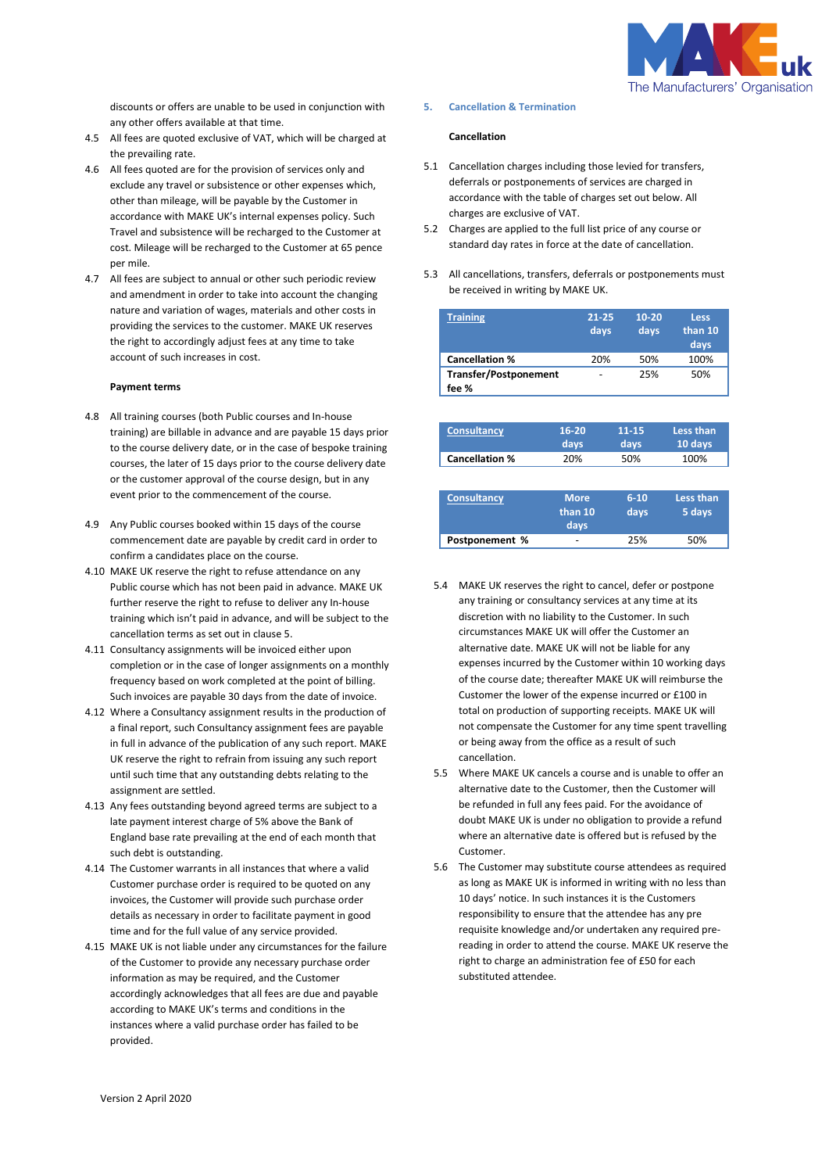

discounts or offers are unable to be used in conjunction with any other offers available at that time.

- 4.5 All fees are quoted exclusive of VAT, which will be charged at the prevailing rate.
- 4.6 All fees quoted are for the provision of services only and exclude any travel or subsistence or other expenses which, other than mileage, will be payable by the Customer in accordance with MAKE UK's internal expenses policy. Such Travel and subsistence will be recharged to the Customer at cost. Mileage will be recharged to the Customer at 65 pence per mile.
- 4.7 All fees are subject to annual or other such periodic review and amendment in order to take into account the changing nature and variation of wages, materials and other costs in providing the services to the customer. MAKE UK reserves the right to accordingly adjust fees at any time to take account of such increases in cost.

# **Payment terms**

- 4.8 All training courses (both Public courses and In-house training) are billable in advance and are payable 15 days prior to the course delivery date, or in the case of bespoke training courses, the later of 15 days prior to the course delivery date or the customer approval of the course design, but in any event prior to the commencement of the course.
- 4.9 Any Public courses booked within 15 days of the course commencement date are payable by credit card in order to confirm a candidates place on the course.
- 4.10 MAKE UK reserve the right to refuse attendance on any Public course which has not been paid in advance. MAKE UK further reserve the right to refuse to deliver any In-house training which isn't paid in advance, and will be subject to the cancellation terms as set out in clause 5.
- 4.11 Consultancy assignments will be invoiced either upon completion or in the case of longer assignments on a monthly frequency based on work completed at the point of billing. Such invoices are payable 30 days from the date of invoice.
- 4.12 Where a Consultancy assignment results in the production of a final report, such Consultancy assignment fees are payable in full in advance of the publication of any such report. MAKE UK reserve the right to refrain from issuing any such report until such time that any outstanding debts relating to the assignment are settled.
- 4.13 Any fees outstanding beyond agreed terms are subject to a late payment interest charge of 5% above the Bank of England base rate prevailing at the end of each month that such debt is outstanding.
- 4.14 The Customer warrants in all instances that where a valid Customer purchase order is required to be quoted on any invoices, the Customer will provide such purchase order details as necessary in order to facilitate payment in good time and for the full value of any service provided.
- 4.15 MAKE UK is not liable under any circumstances for the failure of the Customer to provide any necessary purchase order information as may be required, and the Customer accordingly acknowledges that all fees are due and payable according to MAKE UK's terms and conditions in the instances where a valid purchase order has failed to be provided.

#### **5. Cancellation & Termination**

## **Cancellation**

- 5.1 Cancellation charges including those levied for transfers, deferrals or postponements of services are charged in accordance with the table of charges set out below. All charges are exclusive of VAT.
- 5.2 Charges are applied to the full list price of any course or standard day rates in force at the date of cancellation.
- 5.3 All cancellations, transfers, deferrals or postponements must be received in writing by MAKE UK.

| <b>Training</b>                       | $21 - 25$<br>days | $10 - 20$<br>days | <b>Less</b><br>than 10<br>days |
|---------------------------------------|-------------------|-------------------|--------------------------------|
| <b>Cancellation %</b>                 | 20%               | 50%               | 100%                           |
| <b>Transfer/Postponement</b><br>fee % |                   | 25%               | 50%                            |

| <b>Consultancy</b>    | $16 - 20$ | 11-15       | Less than |
|-----------------------|-----------|-------------|-----------|
|                       | days      | <b>days</b> | 10 days   |
| <b>Cancellation %</b> | 20%       | 50%         | 100%      |

| <b>Consultancy</b> | <b>More</b><br>than 10<br>days | $6-10$<br>days | Less than<br>5 days |
|--------------------|--------------------------------|----------------|---------------------|
| Postponement %     | -                              | 25%            | 50%                 |

- 5.4 MAKE UK reserves the right to cancel, defer or postpone any training or consultancy services at any time at its discretion with no liability to the Customer. In such circumstances MAKE UK will offer the Customer an alternative date. MAKE UK will not be liable for any expenses incurred by the Customer within 10 working days of the course date; thereafter MAKE UK will reimburse the Customer the lower of the expense incurred or £100 in total on production of supporting receipts. MAKE UK will not compensate the Customer for any time spent travelling or being away from the office as a result of such cancellation.
- 5.5 Where MAKE UK cancels a course and is unable to offer an alternative date to the Customer, then the Customer will be refunded in full any fees paid. For the avoidance of doubt MAKE UK is under no obligation to provide a refund where an alternative date is offered but is refused by the Customer.
- 5.6 The Customer may substitute course attendees as required as long as MAKE UK is informed in writing with no less than 10 days' notice. In such instances it is the Customers responsibility to ensure that the attendee has any pre requisite knowledge and/or undertaken any required prereading in order to attend the course. MAKE UK reserve the right to charge an administration fee of £50 for each substituted attendee.